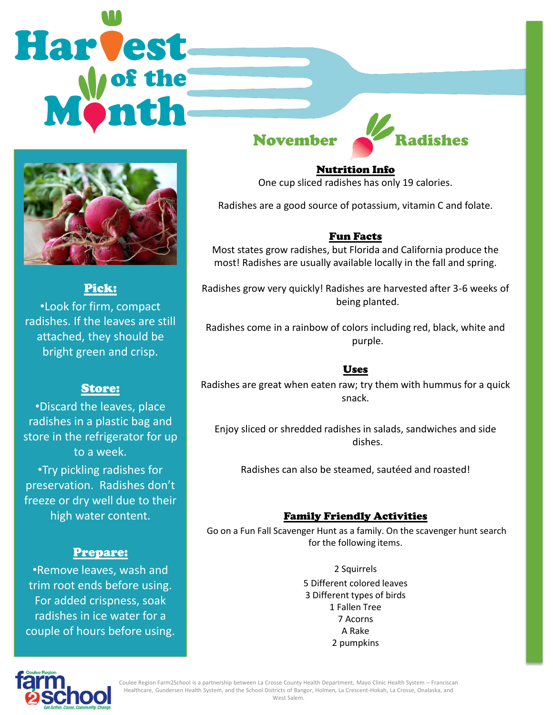# Harvest



Pick: •Look for firm, compact radishes. If the leaves are still attached, they should be bright green and crisp.

# Store:

•Discard the leaves, place radishes in a plastic bag and store in the refrigerator for up to a week.

•Try pickling radishes for preservation. Radishes don't freeze or dry well due to their high water content.

# Prepare:

•Remove leaves, wash and trim root ends before using. For added crispness, soak radishes in ice water for a couple of hours before using.

# November Radishes

Nutrition Info

One cup sliced radishes has only 19 calories.

Radishes are a good source of potassium, vitamin C and folate.

### Fun Facts

Most states grow radishes, but Florida and California produce the most! Radishes are usually available locally in the fall and spring.

Radishes grow very quickly! Radishes are harvested after 3-6 weeks of being planted.

Radishes come in a rainbow of colors including red, black, white and purple.

# Uses

Radishes are great when eaten raw; try them with hummus for a quick snack.

Enjoy sliced or shredded radishes in salads, sandwiches and side dishes.

Radishes can also be steamed, sautéed and roasted!

# Family Friendly Activities

Go on a Fun Fall Scavenger Hunt as a family. On the scavenger hunt search for the following items.

> 2 Squirrels 5 Different colored leaves 3 Different types of birds 1 Fallen Tree 7 Acorns A Rake 2 pumpkins



Coulee Region Farm2School is a partnership between La Crosse County Health Department, Mayo Clinic Health System – Franciscan Healthcare, Gundersen Health System, and the School Districts of Bangor, Holmen, La Crescent-Hokah, La Crosse, Onalaska, and